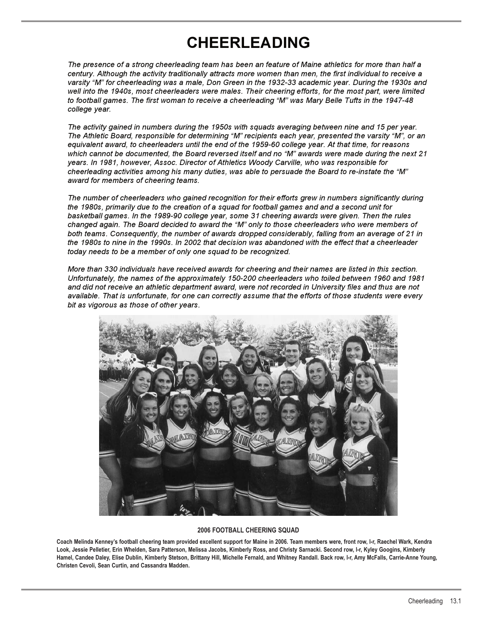# **CHEERLEADING**

*The presence of a strong cheerleading team has been an feature of Maine athletics for more than half a century. Although the activity traditionally attracts more women than men, the first individual to receive a varsity "M" for cheerleading was a male, Don Green in the 1932-33 academic year. During the 1930s and well into the 1940s, most cheerleaders were males. Their cheering efforts, for the most part, were limited to football games. The first woman to receive a cheerleading "M" was Mary Belle Tufts in the 1947-48 college year.*

*The activity gained in numbers during the 1950s with squads averaging between nine and 15 per year. The Athletic Board, responsible for determining "M" recipients each year, presented the varsity "M", or an equivalent award, to cheerleaders until the end of the 1959-60 college year. At that time, for reasons which cannot be documented, the Board reversed itself and no "M" awards were made during the next 21 years. In 1981, however, Assoc. Director of Athletics Woody Carville, who was responsible for cheerleading activities among his many duties, was able to persuade the Board to re-instate the "M" award for members of cheering teams.*

*The number of cheerleaders who gained recognition for their efforts grew in numbers significantly during the 1980s, primarily due to the creation of a squad for football games and and a second unit for basketball games. In the 1989-90 college year, some 31 cheering awards were given. Then the rules changed again. The Board decided to award the "M" only to those cheerleaders who were members of both teams. Consequently, the number of awards dropped considerably, falling from an average of 21 in the 1980s to nine in the 1990s. In 2002 that decision was abandoned with the effect that a cheerleader today needs to be a member of only one squad to be recognized.*

*More than 330 individuals have received awards for cheering and their names are listed in this section. Unfortunately, the names of the approximately 150-200 cheerleaders who toiled between 1960 and 1981 and did not receive an athletic department award, were not recorded in University files and thus are not available. That is unfortunate, for one can correctly assume that the efforts of those students were every bit as vigorous as those of other years.*



#### **2006 FOOTBALL CHEERING SQUAD**

**Coach Melinda Kenney's football cheering team provided excellent support for Maine in 2006. Team members were, front row, l-r, Raechel Wark, Kendra Look, Jessie Pelletier, Erin Whelden, Sara Patterson, Melissa Jacobs, Kimberly Ross, and Christy Sarnacki. Second row, l-r, Kyley Googins, Kimberly Hamel, Candee Daley, Elise Dublin, Kimberly Stetson, Brittany Hill, Michelle Fernald, and Whitney Randall. Back row, l-r, Amy McFalls, Carrie-Anne Young, Christen Cevoli, Sean Curtin, and Cassandra Madden.**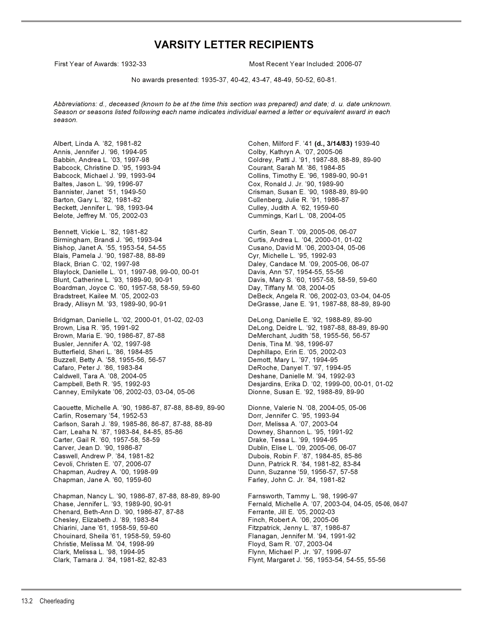# **VARSITY LETTER RECIPIENTS**

First Year of Awards: 1932-33 Most Recent Year Included: 2006-07 First Year of Awards: 1932-33 Most Recent Year Included: 2006-07

No awards presented: 1935-37, 40-42, 43-47, 48-49, 50-52, 60-81.

*Abbreviations: d., deceased (known to be at the time this section was prepared) and date; d. u. date unknown. Season or seasons listed following each name indicates individual earned a letter or equivalent award in each season.*

Annis, Jennifer J. '96, 1994-95 Colby, Kathryn A. '07, 2005-06 Babcock, Christine D. '95, 1993-94 Courant, Sarah M. '86, 1984-85 Baltes, Jason L. '99, 1996-97 Cox, Ronald J. Jr. '90, 1989-90 Barton, Gary L. '82, 1981-82 Cullenberg, Julie R. '91, 1986-87 Beckett, Jennifer L. '98, 1993-94 Culley, Judith A. '62, 1959-60 Belote, Jeffrey M. '05, 2002-03 Cummings, Karl L. '08, 2004-05

Bennett, Vickie L. '82, 1981-82 Curtin, Sean T. '09, 2005-06, 06-07 Bishop, Janet A. '55, 1953-54, 54-55 Cusano, David M. '06, 2003-04, 05-06 Blais, Pamela J. '90, 1987-88, 88-89 Cyr, Michelle L. '95, 1992-93 Black, Brian C. '02, 1997-98 **Daley, Candace M. '09, 2005-06, 06-07** Blaylock, Danielle L. '01, 1997-98, 99-00, 00-01 Davis, Ann '57, 1954-55, 55-56 Blunt, Catherine L. '93, 1989-90, 90-91 Davis, Mary S. '60, 1957-58, 58-59, 59-60 Boardman, Joyce C. '60, 1957-58, 58-59, 59-60 Day, Tiffany M. '08, 2004-05 Bradstreet, Kailee M. '05, 2002-03 DeBeck, Angela R. '06, 2002-03, 03-04, 04-05 Brady, Allisyn M. '93, 1989-90, 90-91 DeGrasse, Jane E. '91, 1987-88, 88-89, 89-90

Bridgman, Danielle L. '02, 2000-01, 01-02, 02-03 DeLong, Danielle E. '92, 1988-89, 89-90 Brown, Lisa R. '95, 1991-92 DeLong, Deidre L. '92, 1987-88, 88-89, 89-90 Brown, Maria E. '90, 1986-87, 87-88 DeMerchant, Judith '58, 1955-56, 56-57 Busler, Jennifer A. '02, 1997-98 **Denis, Tina M. '98, 1996-97** Butterfield, Sheri L. '86, 1984-85 **Dephillapo, Erin E. '05, 2002-03** Buzzell, Betty A. '58, 1955-56, 56-57 Demott, Mary L. '97, 1994-95 Cafaro, Peter J. '86, 1983-84 DeRoche, Danyel T. '97, 1994-95 Caldwell, Tara A. '08, 2004-05 Deshane, Danielle M. '94, 1992-93 Canney, Emilykate '06, 2002-03, 03-04, 05-06

Caouette, Michelle A. '90, 1986-87, 87-88, 88-89, 89-90 Dionne, Valerie N. '08, 2004-05, 05-06 Carlin, Rosemary '54, 1952-53<br>Carlson, Sarah J. '89, 1985-86, 86-87, 87-88, 88-89 Dorr, Melissa A. '07, 2003-04 Carlson, Sarah J. '89, 1985-86, 86-87, 87-88, 88-89 Carr, Leaha N. '87, 1983-84, 84-85, 85-86 Downey, Shannon L. '95, 1991-92<br>Carter, Gail R. '60, 1957-58, 58-59 Drake, Tessa L. '99, 1994-95 Carter, Gail R. '60, 1957-58, 58-59 Carver, Jean D. '90, 1986-87 Dublin, Elise L. '09, 2005-06, 06-07 Caswell, Andrew P. '84, 1981-82 Dubois, Robin F. '87, 1984-85, 85-86 Cevoli, Christen E. '07, 2006-07 Dunn, Patrick R. '84, 1981-82, 83-84 Chapman, Audrey A. '00, 1998-99 Dunn, Suzanne '59, 1956-57, 57-58 Chapman, Jane A. '60, 1959-60 Farley, John C. Jr. '84, 1981-82

Chapman, Nancy L. '90, 1986-87, 87-88, 88-89, 89-90 Farnsworth, Tammy L. '98, 1996-97 Chase, Jennifer L. '93, 1989-90, 90-91 Fernald, Michelle A. '07, 2003-04, 04-05, 05-06, 06-07 Chenard, Beth-Ann D. '90, 1986-87, 87-88 Ferrante, Jill E. '05, 2002-03 Chesley, Elizabeth J. '89, 1983-84 Finch, Robert A. '06, 2005-06 Chiarini, Jane '61, 1958-59, 59-60 Fitzpatrick, Jenny L. '87, 1986-87 Chouinard, Sheila '61, 1958-59, 59-60 Flanagan, Jennifer M. '94, 1991-92 Christie, Melissa M. '04, 1998-99 Floyd, Sam R. '07, 2003-04 Clark, Melissa L. '98, 1994-95 Flynn, Michael P. Jr. '97, 1996-97 Clark, Tamara J. '84, 1981-82, 82-83 Flynt, Margaret J. '56, 1953-54, 54-55, 55-56

Albert, Linda A. '82, 1981-82 Cohen, Milford F. '41 **(d., 3/14/83)** 1939-40 Babbin, Andrea L. '03, 1997-98 Coldrey, Patti J. '91, 1987-88, 88-89, 89-90 Collins, Timothy E. '96, 1989-90, 90-91 Crisman, Susan E. '90, 1988-89, 89-90

Curtis, Andrea L. '04, 2000-01, 01-02

Desjardins, Erika D. '02, 1999-00, 00-01, 01-02<br>Dionne, Susan E. '92, 1988-89, 89-90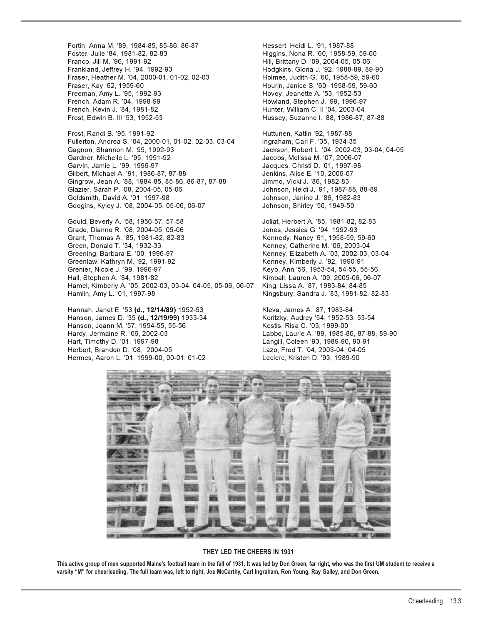Fortin, Anna M. '89, 1984-85, 85-86, 86-87 Hessert, Heidi L. '91, 1987-88 Foster, Julie '84, 1981-82, 82-83 Higgins, Nona R. '60, 1958-59, 59-60 Franco, Jill M. '96, 1991-92 Hill, Brittany D. '09, 2004-05, 05-06 Frankland, Jeffrey H. '94, 1992-93 Hodgkins, Gloria J. '92, 1988-89, 89-90 Fraser, Heather M. '04, 2000-01, 01-02, 02-03 Fraser, Kay '62, 1959-60 Hourin, Janice S. '60, 1958-59, 59-60 Freeman, Amy L. '95, 1992-93 Hovey, Jeanette A. '53, 1952-53 French, Adam R. '04, 1998-99 Howland, Stephen J. '99, 1996-97 French, Kevin J. '84, 1981-82 Hunter, William C. II '04, 2003-04 Frost, Edwin B. III '53, 1952-53 Hussey, Suzanne I. '88, 1986-87, 87-88

Frost, Randi B. '95, 1991-92 Huttunen, Katlin '92, 1987-88 Fullerton, Andrea S. '04, 2000-01, 01-02, 02-03, 03-04 Ingraham, Carl F. '35, 1934-35 Gagnon, Shannon M. '95, 1992-93 Jackson, Robert L. '04, 2002-03, 03-04, 04-05 Gardner, Michelle L. '95, 1991-92 Jacobs, Melissa M. '07, 2006-07 Garvin, Jamie L. '99, 1996-97 **Jacques, Christi D. '01, 1997-98** Gilbert, Michael A. '91, 1986-87, 87-88 Jenkins, Alise E. '10, 2006-07 Gingrow, Jean A. '88, 1984-85, 85-86, 86-87, 87-88 Jimmo, Vicki J. '86, 1982-83 Glazier, Sarah P. '08, 2004-05, 05-06 Johnson, Heidi J. '91, 1987-88, 88-89 Goldsmith, David A. '01, 1997-98 Johnson, Janine J. '86, 1982-83 Googins, Kyley J. '08, 2004-05, 05-06, 06-07 Johnson, Shirley '50, 1949-50

Gould, Beverly A. '58, 1956-57, 57-58 Joliat, Herbert A. '85, 1981-82, 82-83 Grade, Dianne R. '08, 2004-05, 05-06 Grant, Thomas A. '85, 1981-82, 82-83 Kennedy, Nancy '61, 1958-59, 59-60 Greening, Barbara E. '00, 1996-97 Kenney, Elizabeth A. '03, 2002-03, 03-04 Greenlaw, Kathryn M. '92, 1991-92 Kenney, Kimberly J. '92, 1990-91 Grenier, Nicole J. '99, 1996-97 Keyo, Ann '56, 1953-54, 54-55, 55-56 Hamel, Kimberly A. '05, 2002-03, 03-04, 04-05, 05-06, 06-07 King, Lissa A. '87, 1983-84, 84-85 Hamlin, Amy L. '01, 1997-98 Kingsbury, Sandra J. '83, 1981-82, 82-83

Hannah, Janet E. '53 **(d., 12/14/89)** 1952-53 Kleva, James A. '87, 1983-84 Hanson, James D. '35 **(d., 12/19/99)** 1933-34 Koritzky, Audrey '54, 1952-53, 53-54<br>Hanson, Joann M. '57, 1954-55, 55-56 Kostis, Risa C. '03, 1999-00 Hanson, Joann M. '57, 1954-55, 55-56 Hardy, Jermaine R. '06, 2002-03 Labbe, Laurie A. '89, 1985-86, 87-88, 89-90 Hart, Timothy D. '01, 1997-98 Langill, Coleen '93, 1989-90, 90-91 Herbert, Brandon D. '08, 2004-05 Lazo, Fred T. '04, 2003-04, 04-05 Hermes, Aaron L. '01, 1999-00, 00-01, 01-02 Leclerc, Kristen D. '93, 1989-90

Kenney, Catherine M. '06, 2003-04 Kimball, Lauren A. '09, 2005-06, 06-07



#### **THEY LED THE CHEERS IN 1931**

**This active group of men supported Maine's football team in the fall of 1931. It was led by Don Green, far right, who was the first UM student to receive a varsity "M" for cheerleading. The full team was, left to right, Joe McCarthy, Carl Ingraham, Ron Young, Ray Galley, and Don Green.**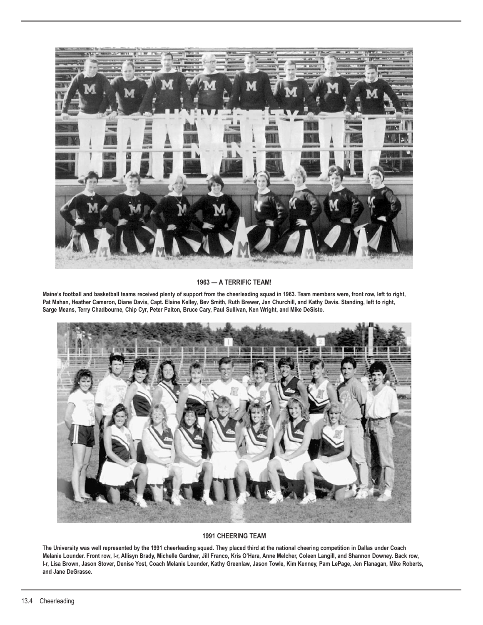

# **1963 — A TERRIFIC TEAM!**

**Maine's football and basketball teams received plenty of support from the cheerleading squad in 1963. Team members were, front row, left to right, Pat Mahan, Heather Cameron, Diane Davis, Capt. Elaine Kelley, Bev Smith, Ruth Brewer, Jan Churchill, and Kathy Davis. Standing, left to right, Sarge Means, Terry Chadbourne, Chip Cyr, Peter Paiton, Bruce Cary, Paul Sullivan, Ken Wright, and Mike DeSisto.**



## **1991 CHEERING TEAM**

**The University was well represented by the 1991 cheerleading squad. They placed third at the national cheering competition in Dallas under Coach Melanie Lounder. Front row, l-r, Allisyn Brady, Michelle Gardner, Jill Franco, Kris O'Hara, Anne Melcher, Coleen Langill, and Shannon Downey. Back row, l-r, Lisa Brown, Jason Stover, Denise Yost, Coach Melanie Lounder, Kathy Greenlaw, Jason Towle, Kim Kenney, Pam LePage, Jen Flanagan, Mike Roberts, and Jane DeGrasse.**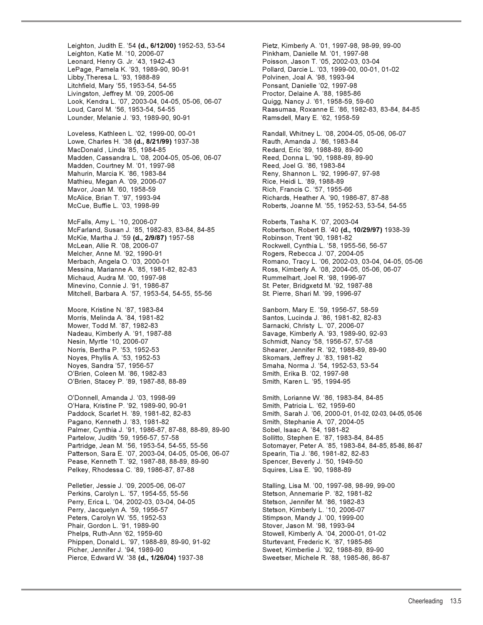Leighton, Judith E. '54 **(d., 6/12/00)** 1952-53, 53-54 Pietz, Kimberly A. '01, 1997-98, 98-99, 99-00 Leighton, Katie M. '10, 2006-07 Pinkham, Danielle M. '01, 1997-98 Leonard, Henry G. Jr. '43, 1942-43 Poisson, Jason T. '05, 2002-03, 03-04 LePage, Pamela K. '93, 1989-90, 90-91 Pollard, Darcie L. '03, 1999-00, 00-01, 01-02 Litchfield, Mary '55, 1953-54, 54-55 Ponsant, Danielle '02, 1997-98 Livingston, Jeffrey M. '09, 2005-06 Proctor, Delaine A. '88, 1985-86 Look, Kendra L. '07, 2003-04, 04-05, 05-06, 06-07 Quigg, Nancy J. '61, 1958-59, 59-60 Loud, Carol M. '56, 1953-54, 54-55 Raasumaa, Roxanne E. '86, 1982-83, 83-84, 84-85 Lounder, Melanie J. '93, 1989-90, 90-91 Ramsdell, Mary E. '62, 1958-59

Lowe, Charles H. '38 **(d., 8/21/99)** 1937-38 Rauth, Amanda J. '86, 1983-84 MacDonald , Linda '85, 1984-85 **Redard, Eric '89, 1988-89, 89-90** Madden, Cassandra L. '08, 2004-05, 05-06, 06-07 Reed, Donna L. '90, 1988-89, 89-90 Madden, Courtney M. '01, 1997-98 Reed, Joel G. '86, 1983-84 Mahurin, Marcia K. '86, 1983-84 Reny, Shannon L. '92, 1996-97, 97-98 Mathieu, Megan A. '09, 2006-07 **Rice, Heidi L. '89, 1988-89** Rice, Heidi L. '89, 1988-89 Mavor, Joan M. '60, 1958-59 **Rich, Francis C. '57, 1955-66** Rich, Francis C. '57, 1955-66 McAlice, Brian T. '97, 1993-94 Richards, Heather A. '90, 1986-87, 87-88 McCue, Buffie L. '03, 1998-99 Roberts, Joanne M. '55, 1952-53, 53-54, 54-55

McFarland, Susan J. '85, 1982-83, 83-84, 84-85 Robertson, Robert B. '40 **(d., 10/29/97)** 1938-39 McKie, Martha J. '59 **(d., 2/9/87)** 1957-58 Robinson, Trent '90, 1981-82 McLean, Allie R. '08, 2006-07 **Rockwell, Cynthia L. '58, 1955-56, 56-57** Melcher, Anne M. '92, 1990-91 Rogers, Rebecca J. '07, 2004-05 Messina, Marianne A. '85, 1981-82, 82-83 Ross, Kimberly A. '08, 2004-05, 05-06, 06-07<br>Michaud, Audra M. '00, 1997-98 Rummelhart, Joel R. '98, 1996-97 Minevino, Connie J. '91, 1986-87 St. Peter, Bridgxetd M. '92, 1987-88 Mitchell, Barbara A. '57, 1953-54, 54-55, 55-56 St. Pierre, Shari M. '99, 1996-97

Morris, Melinda A. '84, 1981-82 Santos, Lucinda J. '86, 1981-82, 82-83 Nesin, Myrtle '10, 2006-07 Schmidt, Nancy '58, 1956-57, 57-58 Noyes, Phyllis A. '53, 1952-53 Skomars, Jeffrey J. '83, 1981-82 Noyes, Sandra '57, 1956-57 Smaha, Norma J. '54, 1952-53, 53-54 O'Brien, Coleen M. '86, 1982-83 Smith, Erika B. '02, 1997-98<br>O'Brien, Stacey P. '89, 1987-88, 88-89 Smith, Karen L. '95, 1994-95 O'Brien, Stacey P. '89, 1987-88, 88-89

O'Donnell, Amanda J. '03, 1998-99 Smith, Lorianne W. '86, 1983-84, 84-85 O'Hara, Kristine P. '92, 1989-90, 90-91 Smith, Patricia L. '62, 1959-60 Paddock, Scarlet H. '89, 1981-82, 82-83 Smith, Sarah J. '06, 2000-01, 01-02, 02-03, 04-05, 05-06 Pagano, Kenneth J. '83, 1981-82 Smith, Stephanie A. '07, 2004-05 Palmer, Cynthia J. '91, 1986-87, 87-88, 88-89, 89-90 Sobel, Isaac A. '84, 1981-82 Partelow, Judith '59, 1956-57, 57-58 Sollitto, Stephen E. '87, 1983-84, 84-85 Partridge, Jean M. '56, 1953-54, 54-55, 55-56 Sotomayer, Peter A. '85, 1983-84, 84-85, 85-86, 86-87 Patterson, Sara E. '07, 2003-04, 04-05, 05-06, 06-07 Spearin, Tia J. '86, 1981-82, 82-83 Pease, Kenneth T. '92, 1987-88, 88-89, 89-90 Spencer, Beverly J. '50, 1949-50 Pelkey, Rhodessa C. '89, 1986-87, 87-88 Squires, Lisa E. '90, 1988-89

Pelletier, Jessie J. '09, 2005-06, 06-07 Stalling, Lisa M. '00, 1997-98, 98-99, 99-00<br>Perkins, Carolyn L. '57, 1954-55, 55-56 Stalling, Stetson, Annemarie P. '82, 1981-82 Perkins, Carolyn L. '57, 1954-55, 55-56 Perry, Erica L. '04, 2002-03, 03-04, 04-05 Stetson, Jennifer M. '86, 1982-83 Perry, Jacquelyn A. '59, 1956-57 Stetson, Kimberly L. '10, 2006-07 Peters, Carolyn W. '55, 1952-53 Stimpson, Mandy J. '00, 1999-00 Phelps, Ruth-Ann '62, 1959-60 Stowell, Kimberly A. '04, 2000-01, 01-02 Phippen, Donald L. '97, 1988-89, 89-90, 91-92 Sturtevant, Frederic K. '87, 1985-86 Pierce, Edward W. '38 **(d., 1/26/04)** 1937-38 Sweetser, Michele R. '88, 1985-86, 86-87

Polvinen, Joal A. '98, 1993-94 Loveless, Kathleen L. '02, 1999-00, 00-01 Randall, Whitney L. '08, 2004-05, 05-06, 06-07 McFalls, Amy L. '10, 2006-07<br>McFarland, Susan J. '85, 1982-83, 83-84, 84-85 Robertson, Robert B. '40 **(d., 10/29/97)** 1938-39 Merbach, Angela O. '03, 2000-01 Romano, Tracy L. '06, 2002-03, 03-04, 04-05, 05-06 Rummelhart, Joel R. '98, 1996-97 Moore, Kristine N. '87, 1983-84 Sanborn, Mary E. '59, 1956-57, 58-59 Sarnacki, Christy L. '07, 2006-07 Nadeau, Kimberly A. '91, 1987-88 Savage, Kimberly A. '93, 1989-90, 92-93 Norris, Bertha P. '53, 1952-53 Shearer, Jennifer R. '92, 1988-89, 89-90 Stover, Jason M. '98, 1993-94 Sweet, Kimberlie J. '92, 1988-89, 89-90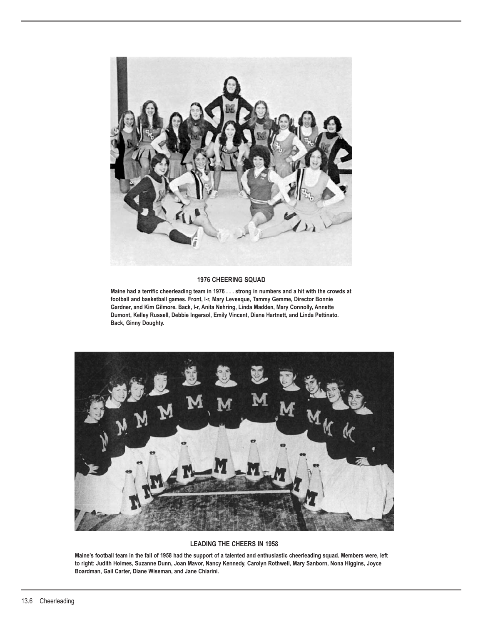

#### **1976 CHEERING SQUAD**

**Maine had a terrific cheerleading team in 1976 . . . strong in numbers and a hit with the crowds at football and basketball games. Front, l-r, Mary Levesque, Tammy Gemme, Director Bonnie Gardner, and Kim Gilmore. Back, l-r, Anita Nehring, Linda Madden, Mary Connolly, Annette Dumont, Kelley Russell, Debbie Ingersol, Emily Vincent, Diane Hartnett, and Linda Pettinato. Back, Ginny Doughty.**



#### **LEADING THE CHEERS IN 1958**

**Maine's football team in the fall of 1958 had the support of a talented and enthusiastic cheerleading squad. Members were, left to right: Judith Holmes, Suzanne Dunn, Joan Mavor, Nancy Kennedy, Carolyn Rothwell, Mary Sanborn, Nona Higgins, Joyce Boardman, Gail Carter, Diane Wiseman, and Jane Chiarini.**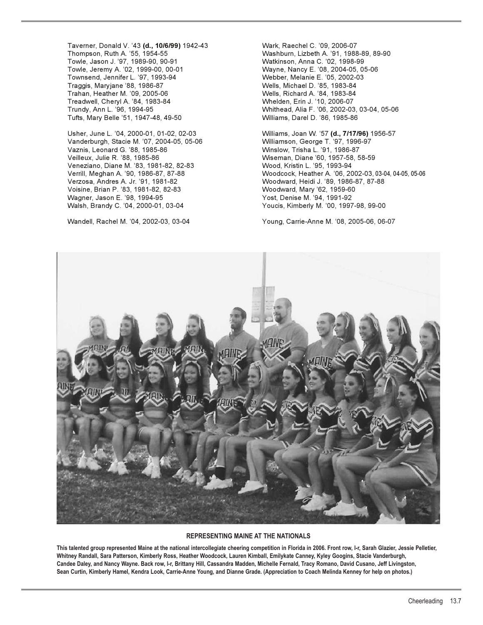Taverner, Donald V. '43 **(d., 10/6/99)** 1942-43 Wark, Raechel C. '09, 2006-07 Thompson, Ruth A. '55, 1954-55 Washburn, Lizbeth A. '91, 1988-89, 89-90 Towle, Jason J. '97, 1989-90, 90-91 Towle, Jeremy A. '02, 1999-00, 00-01 Wayne, Nancy E. '08, 2004-05, 05-06 Townsend, Jennifer L. '97, 1993-94 Traggis, Maryjane '88, 1986-87 Wells, Michael D. '85, 1983-84 Trahan, Heather M. '09, 2005-06 Wells, Richard A. '84, 1983-84 Treadwell, Cheryl A. '84, 1983-84 Whelden, Erin J. '10, 2006-07 Trundy, Ann L. '96, 1994-95 Whithead, Alia F. '06, 2002-03, 03-04, 05-06 Tufts, Mary Belle '51, 1947-48, 49-50 Williams, Darel D. '86, 1985-86

Usher, June L. '04, 2000-01, 01-02, 02-03 Williams, Joan W. '57 **(d., 7/17/96)** 1956-57 Vanderburgh, Stacie M. '07, 2004-05, 05-06 Williamson, George T. '97, 1996-97 Vaznis, Leonard G. '88, 1985-86 Winslow, Trisha L. '91, 1986-87 Veilleux, Julie R. '88, 1985-86 Wiseman, Diane '60, 1957-58, 58-59 Veneziano, Diane M. '83, 1981-82, 82-83 Wood, Kristin L. '95, 1993-94 Verzosa, Andres A. Jr. '91, 1981-82 Woodward, Heidi J. '89, 1986-87, 87-88 Voisine, Brian P. '83, 1981-82, 82-83 Woodward, Mary '62, 1959-60 Wagner, Jason E. '98, 1994-95 Yost, Denise M. '94, 1991-92 Walsh, Brandy C. '04, 2000-01, 03-04 Youcis, Kimberly M. '00, 1997-98, 99-00

Verrill, Meghan A. '90, 1986-87, 87-88 Woodcock, Heather A. '06, 2002-03, 03-04, 04-05, 05-06

Wandell, Rachel M. '04, 2002-03, 03-04 Young, Carrie-Anne M. '08, 2005-06, 06-07



#### **REPRESENTING MAINE AT THE NATIONALS**

**This talented group represented Maine at the national intercollegiate cheering competition in Florida in 2006. Front row, l-r, Sarah Glazier, Jessie Pelletier, Whitney Randall, Sara Patterson, Kimberly Ross, Heather Woodcock, Lauren Kimball, Emilykate Canney, Kyley Googins, Stacie Vanderburgh, Candee Daley, and Nancy Wayne. Back row, l-r, Brittany Hill, Cassandra Madden, Michelle Fernald, Tracy Romano, David Cusano, Jeff Livingston, Sean Curtin, Kimberly Hamel, Kendra Look, Carrie-Anne Young, and Dianne Grade. (Appreciation to Coach Melinda Kenney for help on photos.)**